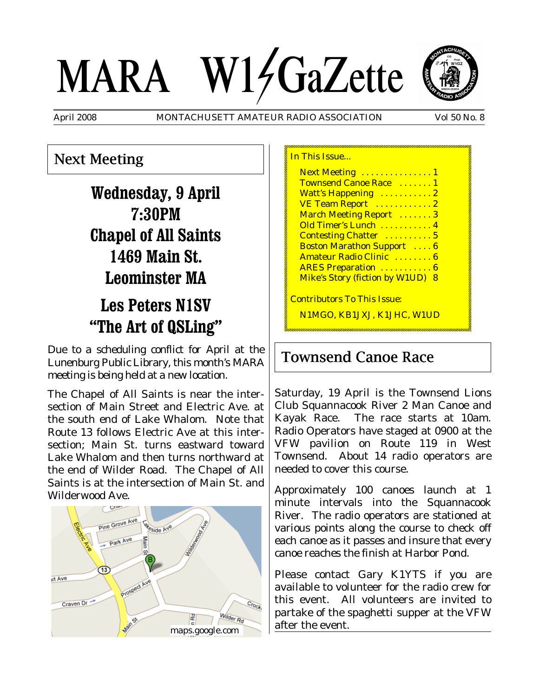# MARA W14GaZette



April 2008 MONTACHUSETT AMATEUR RADIO ASSOCIATION Vol 50 No. 8

## Next Meeting

**Wednesday, 9 April 7:30PM Chapel of All Saints 1469 Main St. Leominster MA**

# **Les Peters N1SV ìThe Art of QSLingî**

Due to a scheduling conflict for April at the Lunenburg Public Library, this month's MARA meeting is being held at a new location.

The Chapel of All Saints is near the intersection of Main Street and Electric Ave. at the south end of Lake Whalom. Note that Route 13 follows Electric Ave at this intersection; Main St. turns eastward toward Lake Whalom and then turns northward at the end of Wilder Road. The Chapel of All Saints is at the intersection of Main St. and Wilderwood Ave.



### In This Issue...

Next Meeting . . . . . . . . . . . . . 1 Townsend Canoe Race ....... 1 Watt's Happening ...........2 **VE Team Report** . . . . . . . . . . . 2 March Meeting Report . . . . . . . 3 Old Timer's Lunch . . . . . . . . . . . 4 Contesting Chatter .......... 5 Boston Marathon Support . . . . 6 Amateur Radio Clinic ........ 6 ARES Preparation ...........6 Mike's Story (fiction by W1UD) 8

Contributors To This Issue:

N1MGO, KB1JXJ, K1JHC, W1UD

## Townsend Canoe Race

Saturday, 19 April is the Townsend Lions Club Squannacook River 2 Man Canoe and Kayak Race. The race starts at 10am. Radio Operators have staged at 0900 at the VFW pavilion on Route 119 in West Townsend. About 14 radio operators are needed to cover this course.

Approximately 100 canoes launch at 1 minute intervals into the Squannacook River. The radio operators are stationed at various points along the course to check off each canoe as it passes and insure that every canoe reaches the finish at Harbor Pond.

Please contact Gary K1YTS if you are available to volunteer for the radio crew for this event. All volunteers are invited to partake of the spaghetti supper at the VFW after the event.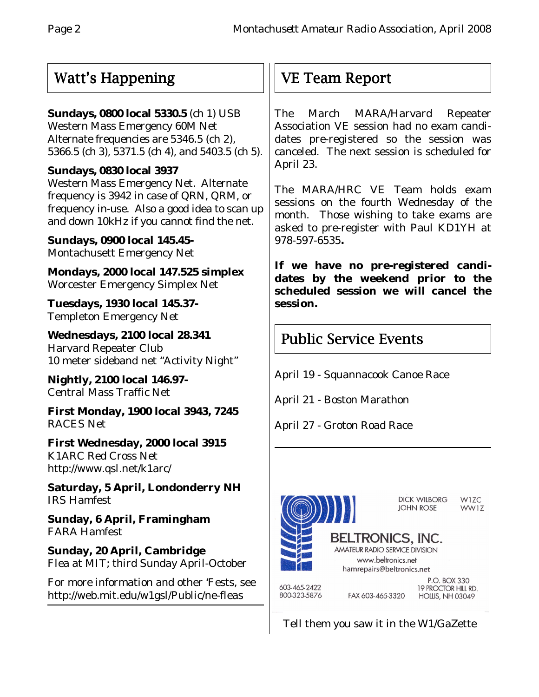## Watt's Happening

## **Sundays, 0800 local 5330.5** (ch 1) USB

Western Mass Emergency 60M Net Alternate frequencies are 5346.5 (ch 2), 5366.5 (ch 3), 5371.5 (ch 4), and 5403.5 (ch 5).

## **Sundays, 0830 local 3937**

Western Mass Emergency Net. Alternate frequency is 3942 in case of QRN, QRM, or frequency in-use. Also a good idea to scan up and down 10kHz if you cannot find the net.

**Sundays, 0900 local 145.45-** Montachusett Emergency Net

**Mondays, 2000 local 147.525 simplex** Worcester Emergency Simplex Net

**Tuesdays, 1930 local 145.37-** Templeton Emergency Net

**Wednesdays, 2100 local 28.341** Harvard Repeater Club 10 meter sideband net "Activity Night"

**Nightly, 2100 local 146.97-** Central Mass Traffic Net

**First Monday, 1900 local 3943, 7245** RACES Net

**First Wednesday, 2000 local 3915** K1ARC Red Cross Net http://www.qsl.net/k1arc/

**Saturday, 5 April, Londonderry NH** IRS Hamfest

**Sunday, 6 April, Framingham** FARA Hamfest

**Sunday, 20 April, Cambridge** Flea at MIT; third Sunday April-October

For more information and other 'Fests, see http://web.mit.edu/w1gsl/Public/ne-fleas

## VE Team Report

The March MARA/Harvard Repeater Association VE session had no exam candidates pre-registered so the session was canceled. The next session is scheduled for April 23.

The MARA/HRC VE Team holds exam sessions on the fourth Wednesday of the month. Those wishing to take exams are asked to pre-register with Paul KD1YH at 978-597-6535**.**

**If we have no pre-registered candidates by the weekend prior to the scheduled session we will cancel the session.**

## Public Service Events

April 19 - Squannacook Canoe Race

April 21 - Boston Marathon

April 27 - Groton Road Race



Tell them you saw it in the W1/GaZette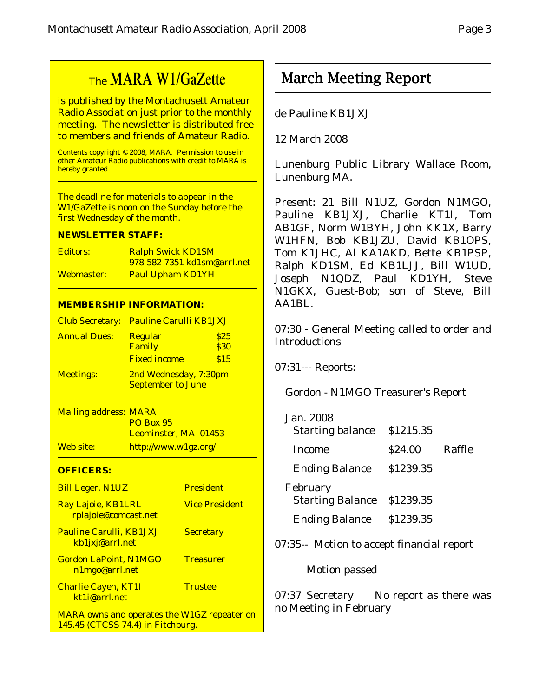## The MARA W1/GaZette

is published by the Montachusett Amateur Radio Association just prior to the monthly meeting. The newsletter is distributed free to members and friends of Amateur Radio.

Contents copyright © 2008, MARA. Permission to use in other Amateur Radio publications with credit to MARA is hereby granted.

The deadline for materials to appear in the W1/GaZette is noon on the Sunday before the first Wednesday of the month.

#### **NEWSLETTER STAFF:**

| Editors:   | <b>Ralph Swick KD1SM</b>    |
|------------|-----------------------------|
|            | 978-582-7351 kd1sm@arrl.net |
| Webmaster: | <b>Paul Upham KD1YH</b>     |

#### **MEMBERSHIP INFORMATION:**

|                     | Club Secretary: Pauline Carulli KB1JXJ |      |
|---------------------|----------------------------------------|------|
| <b>Annual Dues:</b> | <b>Regular</b>                         | \$25 |
|                     | Family                                 | \$30 |
|                     | <b>Fixed income</b>                    | \$15 |
| <b>Meetings:</b>    | 2nd Wednesday, 7:30pm                  |      |
|                     | <b>September to June</b>               |      |

Mailing address: MARA PO Box 95 Leominster, MA 01453 Web site: http://www.w1gz.org/

#### **OFFICERS:**

| <b>Bill Leger, N1UZ</b>                                                                 | <b>President</b>      |
|-----------------------------------------------------------------------------------------|-----------------------|
| Ray Lajoie, KB1LRL<br>rplajoie@comcast.net                                              | <b>Vice President</b> |
| <b>Pauline Carulli, KB1JXJ</b><br>kb1jxj@arrl.net                                       | <b>Secretary</b>      |
| <b>Gordon LaPoint, N1MGO</b><br>n1mgo@arrl.net                                          | <b>Treasurer</b>      |
| <b>Charlie Cayen, KT1I</b><br>kt1i@arrl.net                                             | <b>Trustee</b>        |
| <b>MARA</b> owns and operates the W1GZ repeater on<br>145.45 (CTCSS 74.4) in Fitchburg. |                       |

## March Meeting Report

de Pauline KB1JXJ

12 March 2008

Lunenburg Public Library Wallace Room, Lunenburg MA.

Present: 21 Bill N1UZ, Gordon N1MGO, Pauline KB1JXJ, Charlie KT1I, Tom AB1GF, Norm W1BYH, John KK1X, Barry W1HFN, Bob KB1JZU, David KB1OPS, Tom K1JHC, Al KA1AKD, Bette KB1PSP, Ralph KD1SM, Ed KB1LJJ, Bill W1UD, Joseph N1QDZ, Paul KD1YH, Steve N1GKX, Guest-Bob; son of Steve, Bill AA1BL.

07:30 - General Meeting called to order and Introductions

07:31--- Reports:

Gordon - N1MGO Treasurer's Report

| Jan. 2008               |           |        |
|-------------------------|-----------|--------|
| <b>Starting balance</b> | \$1215.35 |        |
| <b>Income</b>           | \$24.00   | Raffle |
| <b>Ending Balance</b>   | \$1239.35 |        |
| February                |           |        |
| <b>Starting Balance</b> | \$1239.35 |        |
| <b>Ending Balance</b>   | \$1239.35 |        |

07:35-- Motion to accept financial report

Motion passed

07:37 Secretary No report as there was no Meeting in February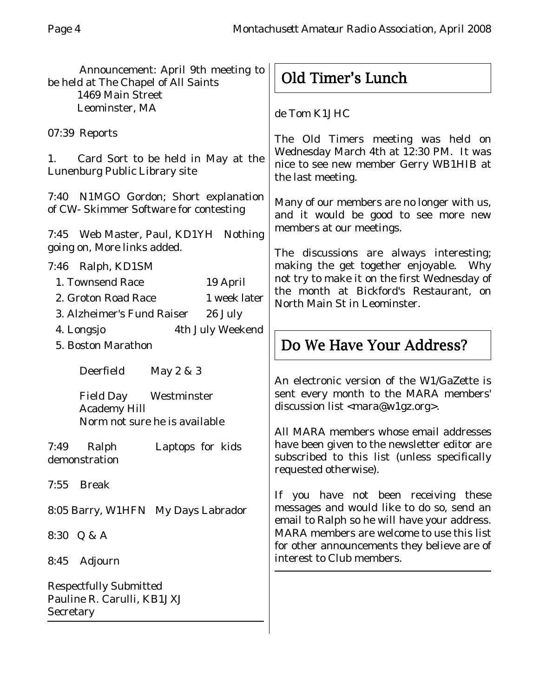Announcement: April 9th meeting to be held at The Chapel of All Saints 1469 Main Street Leominster, MA 07:39 Reports 1. Card Sort to be held in May at the Lunenburg Public Library site de Tom K1JHC the last meeting.

7:40 N1MGO Gordon; Short explanation of CW- Skimmer Software for contesting

7:45 Web Master, Paul, KD1YH Nothing going on, More links added.

## 7:46 Ralph, KD1SM

| 1. Townsend Race           | 19 April     |  |
|----------------------------|--------------|--|
| 2. Groton Road Race        | 1 week later |  |
| 3. Alzheimer's Fund Raiser | 26 July      |  |

- 4. Longsjo 4th July Weekend
- 5. Boston Marathon

Deerfield May 2 & 3

Field Day Westminster Academy Hill Norm not sure he is available

7:49 Ralph Laptops for kids demonstration

7:55 Break

8:05 Barry, W1HFN My Days Labrador

8:30 Q & A

8:45 Adjourn

Respectfully Submitted Pauline R. Carulli, KB1JXJ **Secretary** 

## Old Timer's Lunch

The Old Timers meeting was held on Wednesday March 4th at 12:30 PM. It was nice to see new member Gerry WB1HIB at

Many of our members are no longer with us, and it would be good to see more new members at our meetings.

The discussions are always interesting; making the get together enjoyable. Why not try to make it on the first Wednesday of the month at Bickford's Restaurant, on North Main St in Leominster.

## Do We Have Your Address?

An electronic version of the W1/GaZette is sent every month to the MARA members' discussion list <mara@w1gz.org>.

All MARA members whose email addresses have been given to the newsletter editor are subscribed to this list (unless specifically requested otherwise).

If you have not been receiving these messages and would like to do so, send an email to Ralph so he will have your address. MARA members are welcome to use this list for other announcements they believe are of interest to Club members.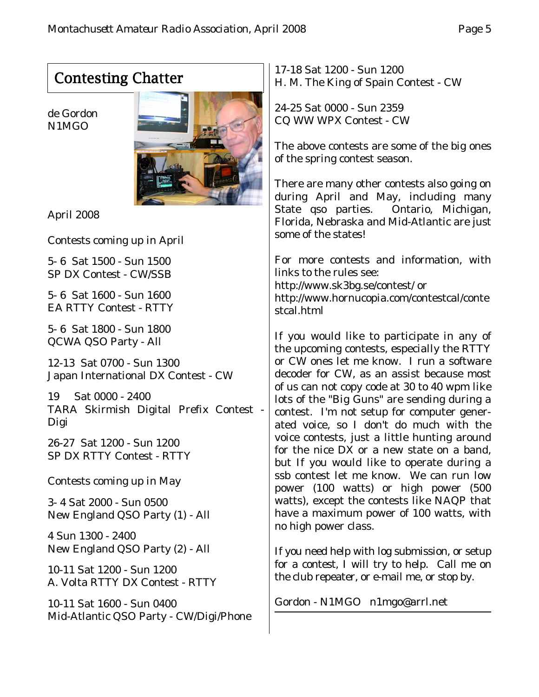# Contesting Chatter

de Gordon N1MGO



April 2008

Contests coming up in April

5- 6 Sat 1500 - Sun 1500 SP DX Contest - CW/SSB

5- 6 Sat 1600 - Sun 1600 EA RTTY Contest - RTTY

5- 6 Sat 1800 - Sun 1800 QCWA QSO Party - All

12-13 Sat 0700 - Sun 1300 Japan International DX Contest - CW

19 Sat 0000 - 2400 TARA Skirmish Digital Prefix Contest - Digi

26-27 Sat 1200 - Sun 1200 SP DX RTTY Contest - RTTY

Contests coming up in May

3- 4 Sat 2000 - Sun 0500 New England QSO Party (1) - All

4 Sun 1300 - 2400 New England QSO Party (2) - All

10-11 Sat 1200 - Sun 1200 A. Volta RTTY DX Contest - RTTY

10-11 Sat 1600 - Sun 0400 Mid-Atlantic QSO Party - CW/Digi/Phone

17-18 Sat 1200 - Sun 1200 H. M. The King of Spain Contest - CW

24-25 Sat 0000 - Sun 2359 CQ WW WPX Contest - CW

The above contests are some of the big ones of the spring contest season.

There are many other contests also going on during April and May, including many State qso parties. Ontario, Michigan, Florida, Nebraska and Mid-Atlantic are just some of the states!

For more contests and information, with links to the rules see: http://www.sk3bg.se/contest/ or http://www.hornucopia.com/contestcal/conte stcal.html

If you would like to participate in any of the upcoming contests, especially the RTTY or CW ones let me know. I run a software decoder for CW, as an assist because most of us can not copy code at 30 to 40 wpm like lots of the "Big Guns" are sending during a contest. I'm not setup for computer generated voice, so I don't do much with the voice contests, just a little hunting around for the nice DX or a new state on a band, but If you would like to operate during a ssb contest let me know. We can run low power (100 watts) or high power (500 watts), except the contests like NAQP that have a maximum power of 100 watts, with no high power class.

If you need help with log submission, or setup for a contest, I will try to help. Call me on the club repeater, or e-mail me, or stop by.

Gordon - N1MGO n1mgo@arrl.net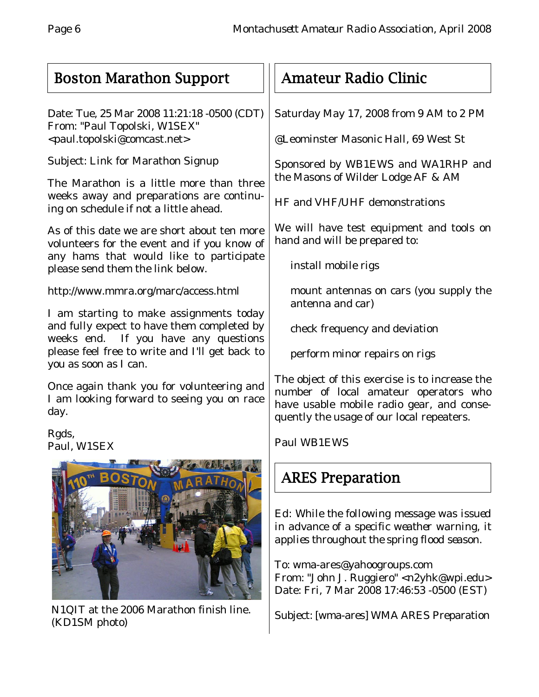## Boston Marathon Support

Date: Tue, 25 Mar 2008 11:21:18 -0500 (CDT) From: "Paul Topolski, W1SEX" <paul.topolski@comcast.net>

Subject: Link for Marathon Signup

The Marathon is a little more than three weeks away and preparations are continuing on schedule if not a little ahead.

As of this date we are short about ten more volunteers for the event and if you know of any hams that would like to participate please send them the link below.

http://www.mmra.org/marc/access.html

I am starting to make assignments today and fully expect to have them completed by weeks end. If you have any questions please feel free to write and I'll get back to you as soon as I can.

Once again thank you for volunteering and I am looking forward to seeing you on race day.

Rgds, Paul, W1SEX



N1QIT at the 2006 Marathon finish line. (KD1SM photo)

## Amateur Radio Clinic

Saturday May 17, 2008 from 9 AM to 2 PM

@Leominster Masonic Hall, 69 West St

Sponsored by WB1EWS and WA1RHP and the Masons of Wilder Lodge AF & AM

HF and VHF/UHF demonstrations

We will have test equipment and tools on hand and will be prepared to:

install mobile rigs

mount antennas on cars (you supply the antenna and car)

check frequency and deviation

perform minor repairs on rigs

The object of this exercise is to increase the number of local amateur operators who have usable mobile radio gear, and consequently the usage of our local repeaters.

Paul WB1EWS

# ARES Preparation

*Ed: While the following message was issued in advance of a specific weather warning, it applies throughout the spring flood season.*

To: wma-ares@yahoogroups.com From: "John J. Ruggiero" <n2yhk@wpi.edu> Date: Fri, 7 Mar 2008 17:46:53 -0500 (EST)

Subject: [wma-ares] WMA ARES Preparation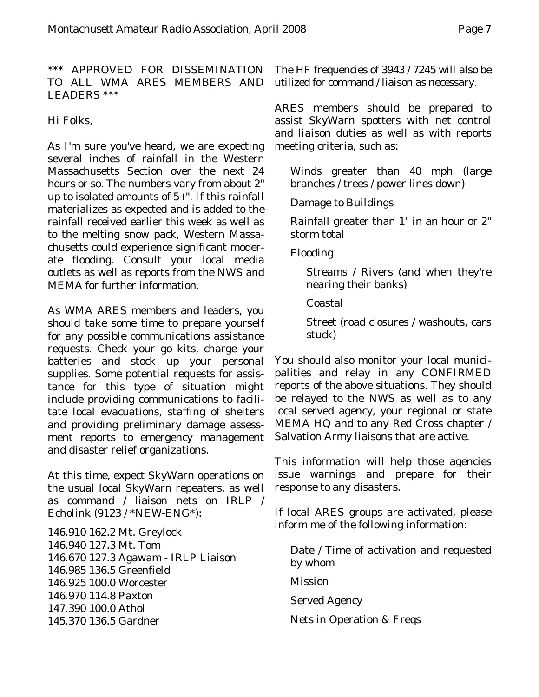\*\*\* APPROVED FOR DISSEMINATION TO ALL WMA ARES MEMBERS AND LEADERS \*\*\*

Hi Folks,

As I'm sure you've heard, we are expecting several inches of rainfall in the Western Massachusetts Section over the next 24 hours or so. The numbers vary from about 2" up to isolated amounts of 5+". If this rainfall materializes as expected and is added to the rainfall received earlier this week as well as to the melting snow pack, Western Massachusetts could experience significant moderate flooding. Consult your local media outlets as well as reports from the NWS and MEMA for further information.

As WMA ARES members and leaders, you should take some time to prepare yourself for any possible communications assistance requests. Check your go kits, charge your batteries and stock up your personal supplies. Some potential requests for assistance for this type of situation might include providing communications to facilitate local evacuations, staffing of shelters and providing preliminary damage assessment reports to emergency management and disaster relief organizations.

At this time, expect SkyWarn operations on the usual local SkyWarn repeaters, as well as command / liaison nets on IRLP / Echolink (9123 / \*NEW-ENG\*):

146.910 162.2 Mt. Greylock 146.940 127.3 Mt. Tom 146.670 127.3 Agawam - IRLP Liaison 146.985 136.5 Greenfield 146.925 100.0 Worcester 146.970 114.8 Paxton 147.390 100.0 Athol 145.370 136.5 Gardner

The HF frequencies of 3943 / 7245 will also be utilized for command / liaison as necessary.

ARES members should be prepared to assist SkyWarn spotters with net control and liaison duties as well as with reports meeting criteria, such as:

Winds greater than 40 mph (large branches / trees / power lines down)

Damage to Buildings

Rainfall greater than 1" in an hour or 2" storm total

Flooding

Streams / Rivers (and when they're nearing their banks)

Coastal

Street (road closures / washouts, cars stuck)

You should also monitor your local municipalities and relay in any CONFIRMED reports of the above situations. They should be relayed to the NWS as well as to any local served agency, your regional or state MEMA HQ and to any Red Cross chapter / Salvation Army liaisons that are active.

This information will help those agencies issue warnings and prepare for their response to any disasters.

If local ARES groups are activated, please inform me of the following information:

Date / Time of activation and requested by whom

Mission

Served Agency

Nets in Operation & Freqs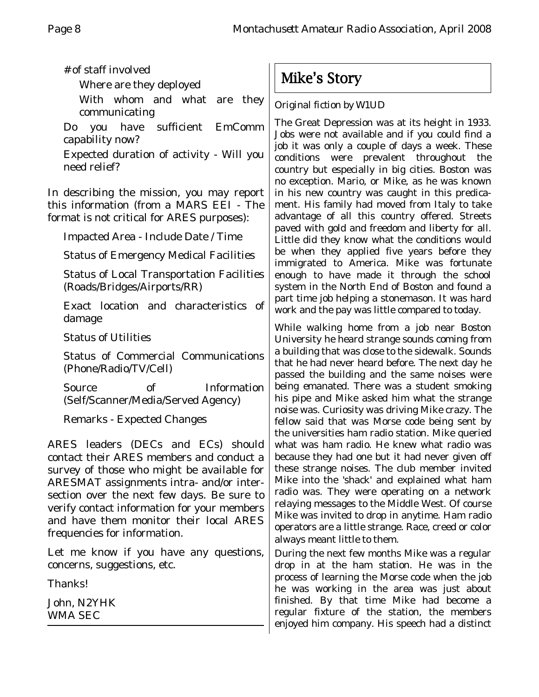# of staff involved

Where are they deployed

With whom and what are they communicating

Do you have sufficient EmComm capability now?

Expected duration of activity - Will you need relief?

In describing the mission, you may report this information (from a MARS EEI - The format is not critical for ARES purposes):

Impacted Area - Include Date / Time

Status of Emergency Medical Facilities

Status of Local Transportation Facilities (Roads/Bridges/Airports/RR)

Exact location and characteristics of damage

Status of Utilities

Status of Commercial Communications (Phone/Radio/TV/Cell)

Source of Information (Self/Scanner/Media/Served Agency)

Remarks - Expected Changes

ARES leaders (DECs and ECs) should contact their ARES members and conduct a survey of those who might be available for ARESMAT assignments intra- and/or intersection over the next few days. Be sure to verify contact information for your members and have them monitor their local ARES frequencies for information.

Let me know if you have any questions, concerns, suggestions, etc.

Thanks!

John, N2YHK WMA SEC

Mike's Story

*Original fiction by W1UD*

The Great Depression was at its height in 1933. Jobs were not available and if you could find a job it was only a couple of days a week. These conditions were prevalent throughout the country but especially in big cities. Boston was no exception. Mario, or Mike, as he was known in his new country was caught in this predicament. His family had moved from Italy to take advantage of all this country offered. Streets paved with gold and freedom and liberty for all. Little did they know what the conditions would be when they applied five years before they immigrated to America. Mike was fortunate enough to have made it through the school system in the North End of Boston and found a part time job helping a stonemason. It was hard work and the pay was little compared to today.

While walking home from a job near Boston University he heard strange sounds coming from a building that was close to the sidewalk. Sounds that he had never heard before. The next day he passed the building and the same noises were being emanated. There was a student smoking his pipe and Mike asked him what the strange noise was. Curiosity was driving Mike crazy. The fellow said that was Morse code being sent by the universities ham radio station. Mike queried what was ham radio. He knew what radio was because they had one but it had never given off these strange noises. The club member invited Mike into the 'shack' and explained what ham radio was. They were operating on a network relaying messages to the Middle West. Of course Mike was invited to drop in anytime. Ham radio operators are a little strange. Race, creed or color always meant little to them.

During the next few months Mike was a regular drop in at the ham station. He was in the process of learning the Morse code when the job he was working in the area was just about finished. By that time Mike had become a regular fixture of the station, the members enjoyed him company. His speech had a distinct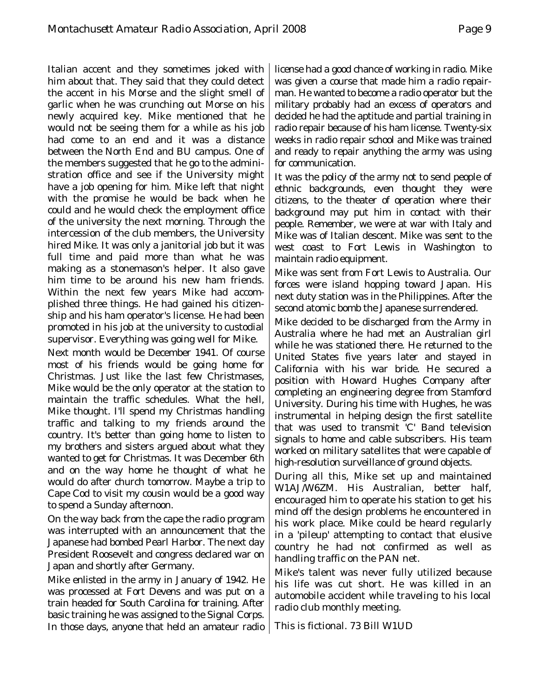Italian accent and they sometimes joked with him about that. They said that they could detect the accent in his Morse and the slight smell of garlic when he was crunching out Morse on his newly acquired key. Mike mentioned that he would not be seeing them for a while as his job had come to an end and it was a distance between the North End and BU campus. One of the members suggested that he go to the administration office and see if the University might have a job opening for him. Mike left that night with the promise he would be back when he could and he would check the employment office of the university the next morning. Through the intercession of the club members, the University hired Mike. It was only a janitorial job but it was full time and paid more than what he was making as a stonemason's helper. It also gave him time to be around his new ham friends. Within the next few years Mike had accomplished three things. He had gained his citizenship and his ham operator's license. He had been promoted in his job at the university to custodial supervisor. Everything was going well for Mike.

Next month would be December 1941. Of course most of his friends would be going home for Christmas. Just like the last few Christmases, Mike would be the only operator at the station to maintain the traffic schedules. What the hell, Mike thought. I'll spend my Christmas handling traffic and talking to my friends around the country. It's better than going home to listen to my brothers and sisters argued about what they wanted to get for Christmas. It was December 6th and on the way home he thought of what he would do after church tomorrow. Maybe a trip to Cape Cod to visit my cousin would be a good way to spend a Sunday afternoon.

On the way back from the cape the radio program was interrupted with an announcement that the Japanese had bombed Pearl Harbor. The next day President Roosevelt and congress declared war on Japan and shortly after Germany.

Mike enlisted in the army in January of 1942. He was processed at Fort Devens and was put on a train headed for South Carolina for training. After basic training he was assigned to the Signal Corps. In those days, anyone that held an amateur radio license had a good chance of working in radio. Mike was given a course that made him a radio repairman. He wanted to become a radio operator but the military probably had an excess of operators and decided he had the aptitude and partial training in radio repair because of his ham license. Twenty-six weeks in radio repair school and Mike was trained and ready to repair anything the army was using for communication.

It was the policy of the army not to send people of ethnic backgrounds, even thought they were citizens, to the theater of operation where their background may put him in contact with their people. Remember, we were at war with Italy and Mike was of Italian descent. Mike was sent to the west coast to Fort Lewis in Washington to maintain radio equipment.

Mike was sent from Fort Lewis to Australia. Our forces were island hopping toward Japan. His next duty station was in the Philippines. After the second atomic bomb the Japanese surrendered.

Mike decided to be discharged from the Army in Australia where he had met an Australian girl while he was stationed there. He returned to the United States five years later and stayed in California with his war bride. He secured a position with Howard Hughes Company after completing an engineering degree from Stamford University. During his time with Hughes, he was instrumental in helping design the first satellite that was used to transmit 'C' Band television signals to home and cable subscribers. His team worked on military satellites that were capable of high-resolution surveillance of ground objects.

During all this, Mike set up and maintained W1AJ/W6ZM. His Australian, better half, encouraged him to operate his station to get his mind off the design problems he encountered in his work place. Mike could be heard regularly in a 'pileup' attempting to contact that elusive country he had not confirmed as well as handling traffic on the PAN net.

Mike's talent was never fully utilized because his life was cut short. He was killed in an automobile accident while traveling to his local radio club monthly meeting.

This is fictional. 73 Bill W1UD